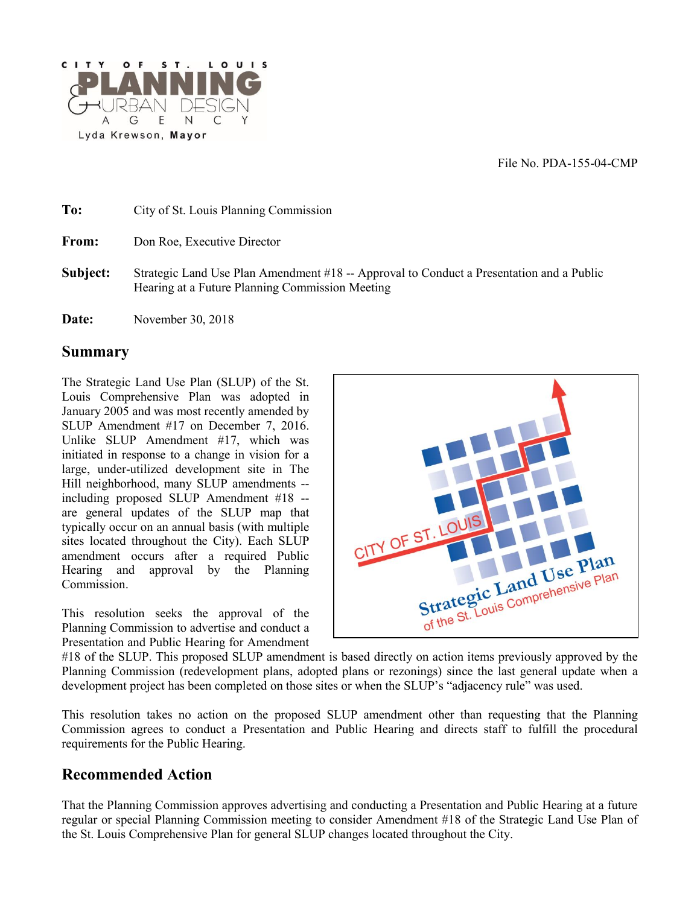File No. PDA-155-04-CMP



**To:** City of St. Louis Planning Commission From: Don Roe, Executive Director **Subject:** Strategic Land Use Plan Amendment #18 -- Approval to Conduct a Presentation and a Public Hearing at a Future Planning Commission Meeting

**Date:** November 30, 2018

#### **Summary**

The Strategic Land Use Plan (SLUP) of the St. Louis Comprehensive Plan was adopted in January 2005 and was most recently amended by SLUP Amendment #17 on December 7, 2016. Unlike SLUP Amendment #17, which was initiated in response to a change in vision for a large, under-utilized development site in The Hill neighborhood, many SLUP amendments - including proposed SLUP Amendment #18 - are general updates of the SLUP map that typically occur on an annual basis (with multiple sites located throughout the City). Each SLUP amendment occurs after a required Public Hearing and approval by the Planning Commission.

This resolution seeks the approval of the Planning Commission to advertise and conduct a Presentation and Public Hearing for Amendment



#18 of the SLUP. This proposed SLUP amendment is based directly on action items previously approved by the Planning Commission (redevelopment plans, adopted plans or rezonings) since the last general update when a development project has been completed on those sites or when the SLUP's "adjacency rule" was used.

This resolution takes no action on the proposed SLUP amendment other than requesting that the Planning Commission agrees to conduct a Presentation and Public Hearing and directs staff to fulfill the procedural requirements for the Public Hearing.

### **Recommended Action**

That the Planning Commission approves advertising and conducting a Presentation and Public Hearing at a future regular or special Planning Commission meeting to consider Amendment #18 of the Strategic Land Use Plan of the St. Louis Comprehensive Plan for general SLUP changes located throughout the City.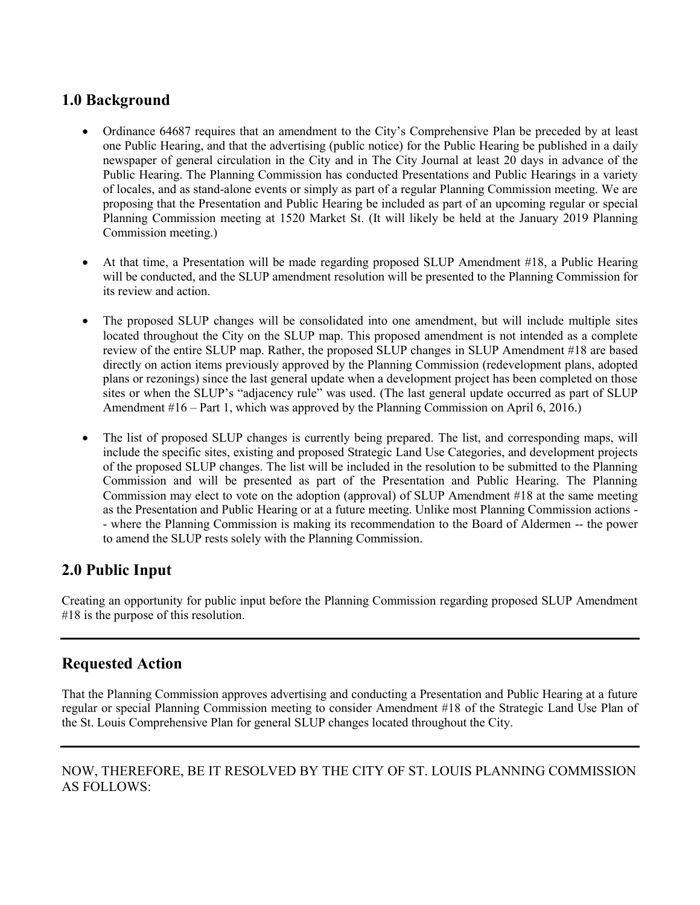## **1.0 Background**

- Ordinance 64687 requires that an amendment to the City's Comprehensive Plan be preceded by at least one Public Hearing, and that the advertising (public notice) for the Public Hearing be published in a daily newspaper of general circulation in the City and in The City Journal at least 20 days in advance of the Public Hearing. The Planning Commission has conducted Presentations and Public Hearings in a variety of locales, and as stand-alone events or simply as part of a regular Planning Commission meeting. We are proposing that the Presentation and Public Hearing be included as part of an upcoming regular or special Planning Commission meeting at 1520 Market St. (It will likely be held at the January 2019 Planning Commission meeting.)
- At that time, a Presentation will be made regarding proposed SLUP Amendment #18, a Public Hearing will be conducted, and the SLUP amendment resolution will be presented to the Planning Commission for its review and action.
- The proposed SLUP changes will be consolidated into one amendment, but will include multiple sites located throughout the City on the SLUP map. This proposed amendment is not intended as a complete review of the entire SLUP map. Rather, the proposed SLUP changes in SLUP Amendment #18 are based directly on action items previously approved by the Planning Commission (redevelopment plans, adopted plans or rezonings) since the last general update when a development project has been completed on those sites or when the SLUP's "adjacency rule" was used. (The last general update occurred as part of SLUP Amendment #16 – Part 1, which was approved by the Planning Commission on April 6, 2016.)
- The list of proposed SLUP changes is currently being prepared. The list, and corresponding maps, will include the specific sites, existing and proposed Strategic Land Use Categories, and development projects of the proposed SLUP changes. The list will be included in the resolution to be submitted to the Planning Commission and will be presented as part of the Presentation and Public Hearing. The Planning Commission may elect to vote on the adoption (approval) of SLUP Amendment #18 at the same meeting as the Presentation and Public Hearing or at a future meeting. Unlike most Planning Commission actions - - where the Planning Commission is making its recommendation to the Board of Aldermen -- the power to amend the SLUP rests solely with the Planning Commission.

# **2.0 Public Input**

Creating an opportunity for public input before the Planning Commission regarding proposed SLUP Amendment #18 is the purpose of this resolution.

## **Requested Action**

That the Planning Commission approves advertising and conducting a Presentation and Public Hearing at a future regular or special Planning Commission meeting to consider Amendment #18 of the Strategic Land Use Plan of the St. Louis Comprehensive Plan for general SLUP changes located throughout the City.

### NOW, THEREFORE, BE IT RESOLVED BY THE CITY OF ST. LOUIS PLANNING COMMISSION AS FOLLOWS: